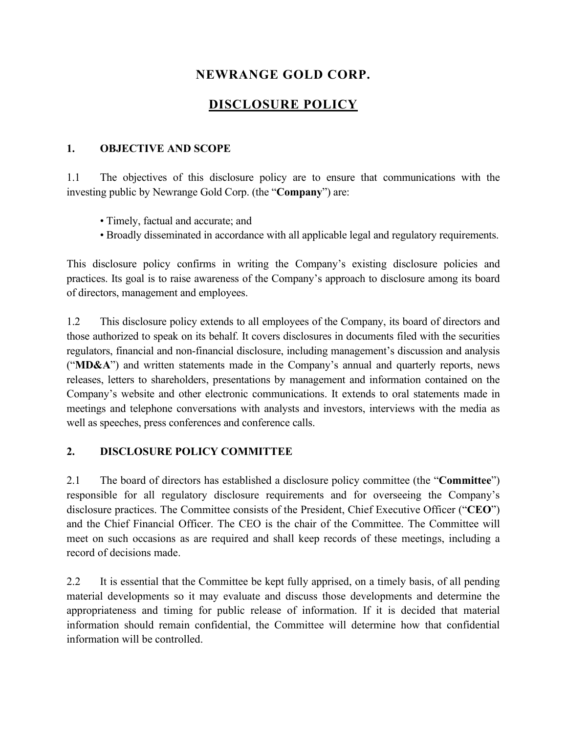# **NEWRANGE GOLD CORP.**

# **DISCLOSURE POLICY**

#### **1. OBJECTIVE AND SCOPE**

1.1 The objectives of this disclosure policy are to ensure that communications with the investing public by Newrange Gold Corp. (the "**Company**") are:

- Timely, factual and accurate; and
- Broadly disseminated in accordance with all applicable legal and regulatory requirements.

This disclosure policy confirms in writing the Company's existing disclosure policies and practices. Its goal is to raise awareness of the Company's approach to disclosure among its board of directors, management and employees.

1.2 This disclosure policy extends to all employees of the Company, its board of directors and those authorized to speak on its behalf. It covers disclosures in documents filed with the securities regulators, financial and non-financial disclosure, including management's discussion and analysis ("**MD&A**") and written statements made in the Company's annual and quarterly reports, news releases, letters to shareholders, presentations by management and information contained on the Company's website and other electronic communications. It extends to oral statements made in meetings and telephone conversations with analysts and investors, interviews with the media as well as speeches, press conferences and conference calls.

#### **2. DISCLOSURE POLICY COMMITTEE**

2.1 The board of directors has established a disclosure policy committee (the "**Committee**") responsible for all regulatory disclosure requirements and for overseeing the Company's disclosure practices. The Committee consists of the President, Chief Executive Officer ("**CEO**") and the Chief Financial Officer. The CEO is the chair of the Committee. The Committee will meet on such occasions as are required and shall keep records of these meetings, including a record of decisions made.

2.2 It is essential that the Committee be kept fully apprised, on a timely basis, of all pending material developments so it may evaluate and discuss those developments and determine the appropriateness and timing for public release of information. If it is decided that material information should remain confidential, the Committee will determine how that confidential information will be controlled.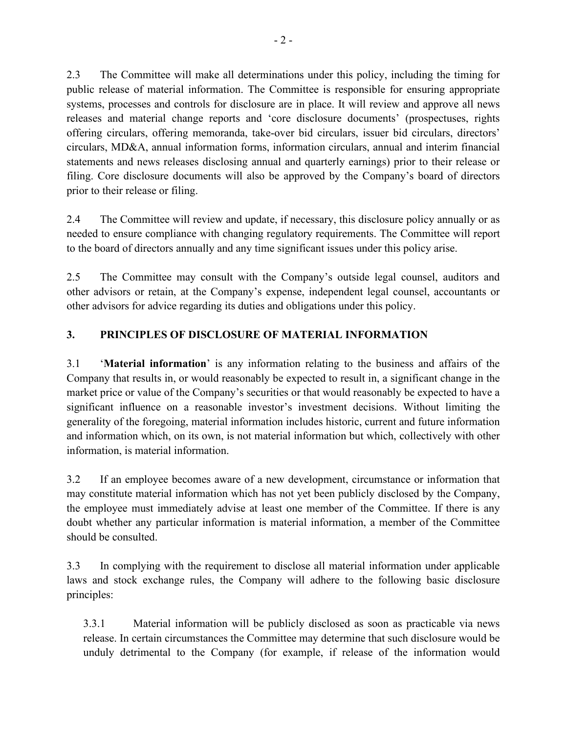2.3 The Committee will make all determinations under this policy, including the timing for public release of material information. The Committee is responsible for ensuring appropriate systems, processes and controls for disclosure are in place. It will review and approve all news releases and material change reports and 'core disclosure documents' (prospectuses, rights offering circulars, offering memoranda, take-over bid circulars, issuer bid circulars, directors' circulars, MD&A, annual information forms, information circulars, annual and interim financial statements and news releases disclosing annual and quarterly earnings) prior to their release or filing. Core disclosure documents will also be approved by the Company's board of directors prior to their release or filing.

2.4 The Committee will review and update, if necessary, this disclosure policy annually or as needed to ensure compliance with changing regulatory requirements. The Committee will report to the board of directors annually and any time significant issues under this policy arise.

2.5 The Committee may consult with the Company's outside legal counsel, auditors and other advisors or retain, at the Company's expense, independent legal counsel, accountants or other advisors for advice regarding its duties and obligations under this policy.

## **3. PRINCIPLES OF DISCLOSURE OF MATERIAL INFORMATION**

3.1 '**Material information**' is any information relating to the business and affairs of the Company that results in, or would reasonably be expected to result in, a significant change in the market price or value of the Company's securities or that would reasonably be expected to have a significant influence on a reasonable investor's investment decisions. Without limiting the generality of the foregoing, material information includes historic, current and future information and information which, on its own, is not material information but which, collectively with other information, is material information.

3.2 If an employee becomes aware of a new development, circumstance or information that may constitute material information which has not yet been publicly disclosed by the Company, the employee must immediately advise at least one member of the Committee. If there is any doubt whether any particular information is material information, a member of the Committee should be consulted.

3.3 In complying with the requirement to disclose all material information under applicable laws and stock exchange rules, the Company will adhere to the following basic disclosure principles:

3.3.1 Material information will be publicly disclosed as soon as practicable via news release. In certain circumstances the Committee may determine that such disclosure would be unduly detrimental to the Company (for example, if release of the information would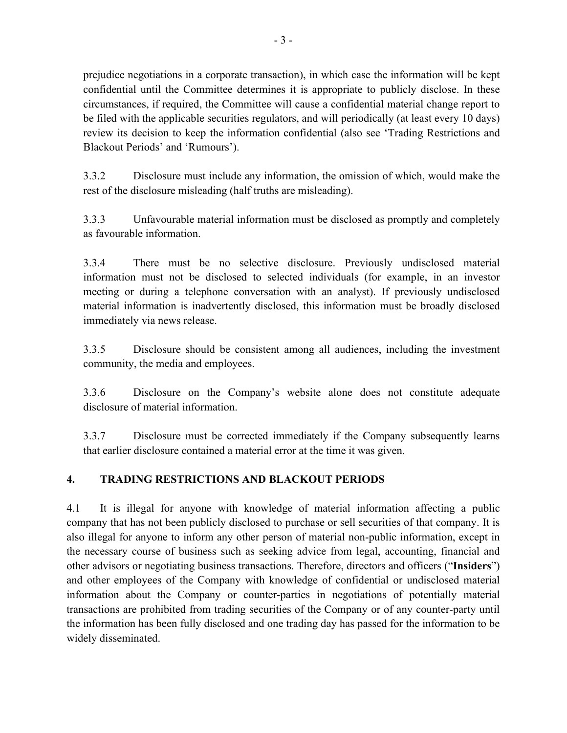prejudice negotiations in a corporate transaction), in which case the information will be kept confidential until the Committee determines it is appropriate to publicly disclose. In these circumstances, if required, the Committee will cause a confidential material change report to be filed with the applicable securities regulators, and will periodically (at least every 10 days) review its decision to keep the information confidential (also see 'Trading Restrictions and Blackout Periods' and 'Rumours').

3.3.2 Disclosure must include any information, the omission of which, would make the rest of the disclosure misleading (half truths are misleading).

3.3.3 Unfavourable material information must be disclosed as promptly and completely as favourable information.

3.3.4 There must be no selective disclosure. Previously undisclosed material information must not be disclosed to selected individuals (for example, in an investor meeting or during a telephone conversation with an analyst). If previously undisclosed material information is inadvertently disclosed, this information must be broadly disclosed immediately via news release.

3.3.5 Disclosure should be consistent among all audiences, including the investment community, the media and employees.

3.3.6 Disclosure on the Company's website alone does not constitute adequate disclosure of material information.

3.3.7 Disclosure must be corrected immediately if the Company subsequently learns that earlier disclosure contained a material error at the time it was given.

## **4. TRADING RESTRICTIONS AND BLACKOUT PERIODS**

4.1 It is illegal for anyone with knowledge of material information affecting a public company that has not been publicly disclosed to purchase or sell securities of that company. It is also illegal for anyone to inform any other person of material non-public information, except in the necessary course of business such as seeking advice from legal, accounting, financial and other advisors or negotiating business transactions. Therefore, directors and officers ("**Insiders**") and other employees of the Company with knowledge of confidential or undisclosed material information about the Company or counter-parties in negotiations of potentially material transactions are prohibited from trading securities of the Company or of any counter-party until the information has been fully disclosed and one trading day has passed for the information to be widely disseminated.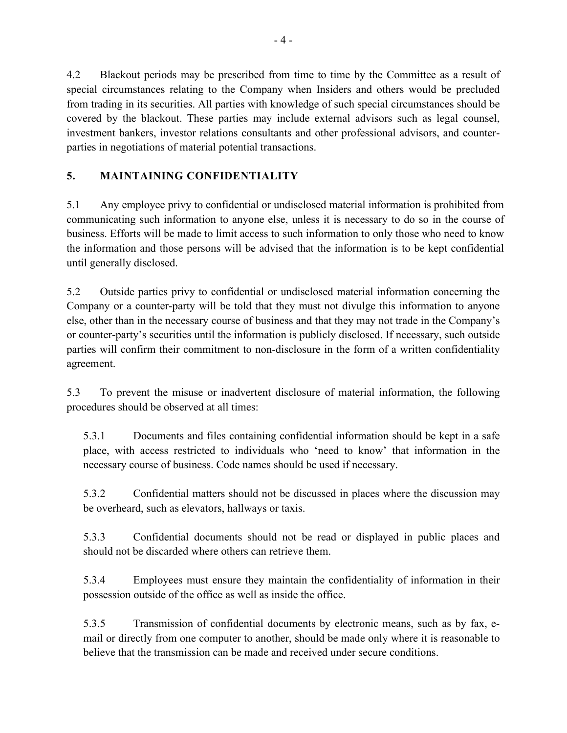4.2 Blackout periods may be prescribed from time to time by the Committee as a result of special circumstances relating to the Company when Insiders and others would be precluded from trading in its securities. All parties with knowledge of such special circumstances should be covered by the blackout. These parties may include external advisors such as legal counsel, investment bankers, investor relations consultants and other professional advisors, and counterparties in negotiations of material potential transactions.

## **5. MAINTAINING CONFIDENTIALITY**

5.1 Any employee privy to confidential or undisclosed material information is prohibited from communicating such information to anyone else, unless it is necessary to do so in the course of business. Efforts will be made to limit access to such information to only those who need to know the information and those persons will be advised that the information is to be kept confidential until generally disclosed.

5.2 Outside parties privy to confidential or undisclosed material information concerning the Company or a counter-party will be told that they must not divulge this information to anyone else, other than in the necessary course of business and that they may not trade in the Company's or counter-party's securities until the information is publicly disclosed. If necessary, such outside parties will confirm their commitment to non-disclosure in the form of a written confidentiality agreement.

5.3 To prevent the misuse or inadvertent disclosure of material information, the following procedures should be observed at all times:

5.3.1 Documents and files containing confidential information should be kept in a safe place, with access restricted to individuals who 'need to know' that information in the necessary course of business. Code names should be used if necessary.

5.3.2 Confidential matters should not be discussed in places where the discussion may be overheard, such as elevators, hallways or taxis.

5.3.3 Confidential documents should not be read or displayed in public places and should not be discarded where others can retrieve them.

5.3.4 Employees must ensure they maintain the confidentiality of information in their possession outside of the office as well as inside the office.

5.3.5 Transmission of confidential documents by electronic means, such as by fax, email or directly from one computer to another, should be made only where it is reasonable to believe that the transmission can be made and received under secure conditions.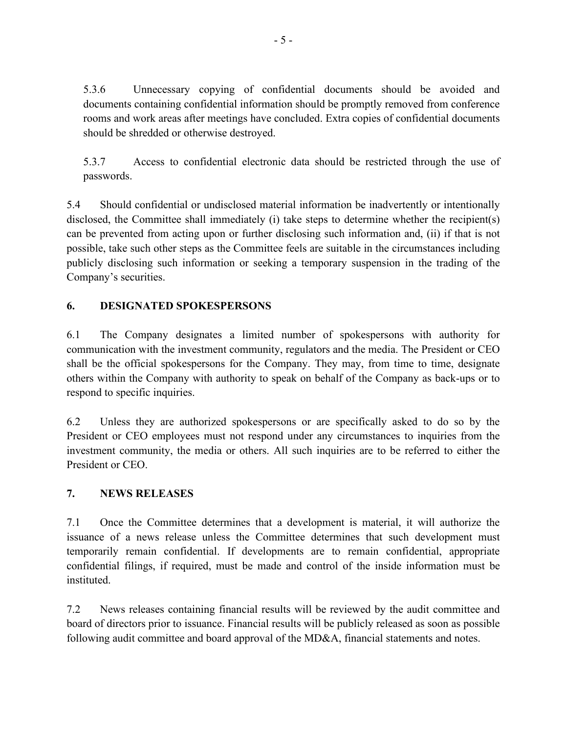5.3.6 Unnecessary copying of confidential documents should be avoided and documents containing confidential information should be promptly removed from conference rooms and work areas after meetings have concluded. Extra copies of confidential documents should be shredded or otherwise destroyed.

5.3.7 Access to confidential electronic data should be restricted through the use of passwords.

5.4 Should confidential or undisclosed material information be inadvertently or intentionally disclosed, the Committee shall immediately (i) take steps to determine whether the recipient(s) can be prevented from acting upon or further disclosing such information and, (ii) if that is not possible, take such other steps as the Committee feels are suitable in the circumstances including publicly disclosing such information or seeking a temporary suspension in the trading of the Company's securities.

## **6. DESIGNATED SPOKESPERSONS**

6.1 The Company designates a limited number of spokespersons with authority for communication with the investment community, regulators and the media. The President or CEO shall be the official spokespersons for the Company. They may, from time to time, designate others within the Company with authority to speak on behalf of the Company as back-ups or to respond to specific inquiries.

6.2 Unless they are authorized spokespersons or are specifically asked to do so by the President or CEO employees must not respond under any circumstances to inquiries from the investment community, the media or others. All such inquiries are to be referred to either the President or CEO.

## **7. NEWS RELEASES**

7.1 Once the Committee determines that a development is material, it will authorize the issuance of a news release unless the Committee determines that such development must temporarily remain confidential. If developments are to remain confidential, appropriate confidential filings, if required, must be made and control of the inside information must be instituted.

7.2 News releases containing financial results will be reviewed by the audit committee and board of directors prior to issuance. Financial results will be publicly released as soon as possible following audit committee and board approval of the MD&A, financial statements and notes.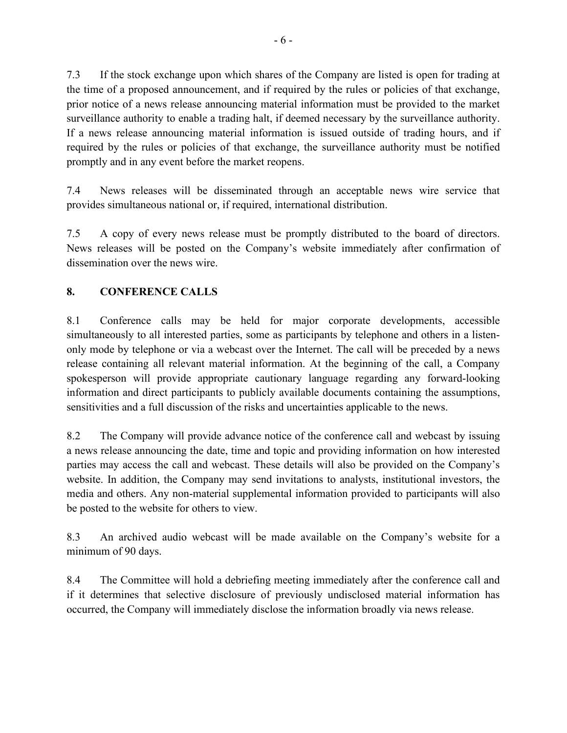7.3 If the stock exchange upon which shares of the Company are listed is open for trading at the time of a proposed announcement, and if required by the rules or policies of that exchange, prior notice of a news release announcing material information must be provided to the market surveillance authority to enable a trading halt, if deemed necessary by the surveillance authority. If a news release announcing material information is issued outside of trading hours, and if required by the rules or policies of that exchange, the surveillance authority must be notified promptly and in any event before the market reopens.

7.4 News releases will be disseminated through an acceptable news wire service that provides simultaneous national or, if required, international distribution.

7.5 A copy of every news release must be promptly distributed to the board of directors. News releases will be posted on the Company's website immediately after confirmation of dissemination over the news wire.

## **8. CONFERENCE CALLS**

8.1 Conference calls may be held for major corporate developments, accessible simultaneously to all interested parties, some as participants by telephone and others in a listenonly mode by telephone or via a webcast over the Internet. The call will be preceded by a news release containing all relevant material information. At the beginning of the call, a Company spokesperson will provide appropriate cautionary language regarding any forward-looking information and direct participants to publicly available documents containing the assumptions, sensitivities and a full discussion of the risks and uncertainties applicable to the news.

8.2 The Company will provide advance notice of the conference call and webcast by issuing a news release announcing the date, time and topic and providing information on how interested parties may access the call and webcast. These details will also be provided on the Company's website. In addition, the Company may send invitations to analysts, institutional investors, the media and others. Any non-material supplemental information provided to participants will also be posted to the website for others to view.

8.3 An archived audio webcast will be made available on the Company's website for a minimum of 90 days.

8.4 The Committee will hold a debriefing meeting immediately after the conference call and if it determines that selective disclosure of previously undisclosed material information has occurred, the Company will immediately disclose the information broadly via news release.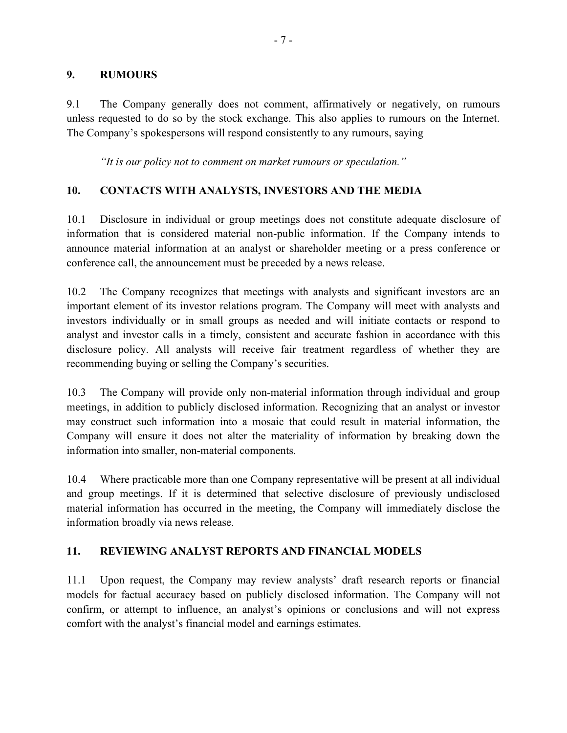#### **9. RUMOURS**

9.1 The Company generally does not comment, affirmatively or negatively, on rumours unless requested to do so by the stock exchange. This also applies to rumours on the Internet. The Company's spokespersons will respond consistently to any rumours, saying

*"It is our policy not to comment on market rumours or speculation."*

### **10. CONTACTS WITH ANALYSTS, INVESTORS AND THE MEDIA**

10.1 Disclosure in individual or group meetings does not constitute adequate disclosure of information that is considered material non-public information. If the Company intends to announce material information at an analyst or shareholder meeting or a press conference or conference call, the announcement must be preceded by a news release.

10.2 The Company recognizes that meetings with analysts and significant investors are an important element of its investor relations program. The Company will meet with analysts and investors individually or in small groups as needed and will initiate contacts or respond to analyst and investor calls in a timely, consistent and accurate fashion in accordance with this disclosure policy. All analysts will receive fair treatment regardless of whether they are recommending buying or selling the Company's securities.

10.3 The Company will provide only non-material information through individual and group meetings, in addition to publicly disclosed information. Recognizing that an analyst or investor may construct such information into a mosaic that could result in material information, the Company will ensure it does not alter the materiality of information by breaking down the information into smaller, non-material components.

10.4 Where practicable more than one Company representative will be present at all individual and group meetings. If it is determined that selective disclosure of previously undisclosed material information has occurred in the meeting, the Company will immediately disclose the information broadly via news release.

#### **11. REVIEWING ANALYST REPORTS AND FINANCIAL MODELS**

11.1 Upon request, the Company may review analysts' draft research reports or financial models for factual accuracy based on publicly disclosed information. The Company will not confirm, or attempt to influence, an analyst's opinions or conclusions and will not express comfort with the analyst's financial model and earnings estimates.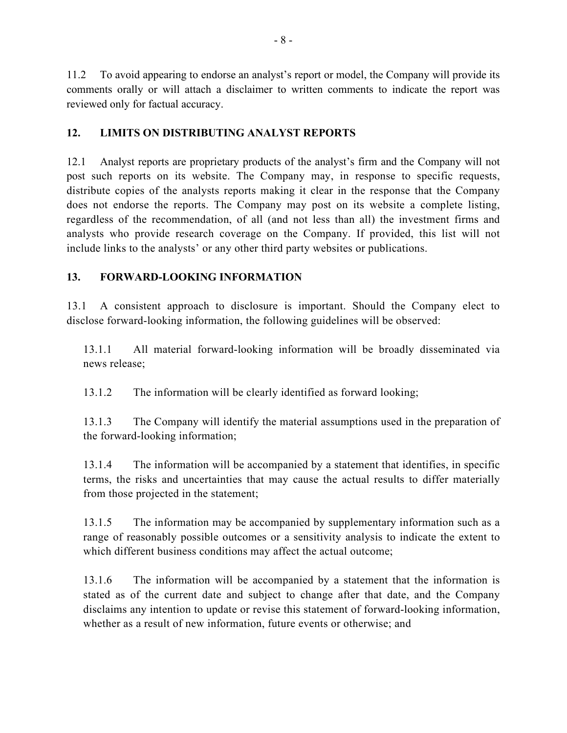11.2 To avoid appearing to endorse an analyst's report or model, the Company will provide its comments orally or will attach a disclaimer to written comments to indicate the report was reviewed only for factual accuracy.

#### **12. LIMITS ON DISTRIBUTING ANALYST REPORTS**

12.1 Analyst reports are proprietary products of the analyst's firm and the Company will not post such reports on its website. The Company may, in response to specific requests, distribute copies of the analysts reports making it clear in the response that the Company does not endorse the reports. The Company may post on its website a complete listing, regardless of the recommendation, of all (and not less than all) the investment firms and analysts who provide research coverage on the Company. If provided, this list will not include links to the analysts' or any other third party websites or publications.

### **13. FORWARD-LOOKING INFORMATION**

13.1 A consistent approach to disclosure is important. Should the Company elect to disclose forward-looking information, the following guidelines will be observed:

13.1.1 All material forward-looking information will be broadly disseminated via news release;

13.1.2 The information will be clearly identified as forward looking;

13.1.3 The Company will identify the material assumptions used in the preparation of the forward-looking information;

13.1.4 The information will be accompanied by a statement that identifies, in specific terms, the risks and uncertainties that may cause the actual results to differ materially from those projected in the statement;

13.1.5 The information may be accompanied by supplementary information such as a range of reasonably possible outcomes or a sensitivity analysis to indicate the extent to which different business conditions may affect the actual outcome;

13.1.6 The information will be accompanied by a statement that the information is stated as of the current date and subject to change after that date, and the Company disclaims any intention to update or revise this statement of forward-looking information, whether as a result of new information, future events or otherwise; and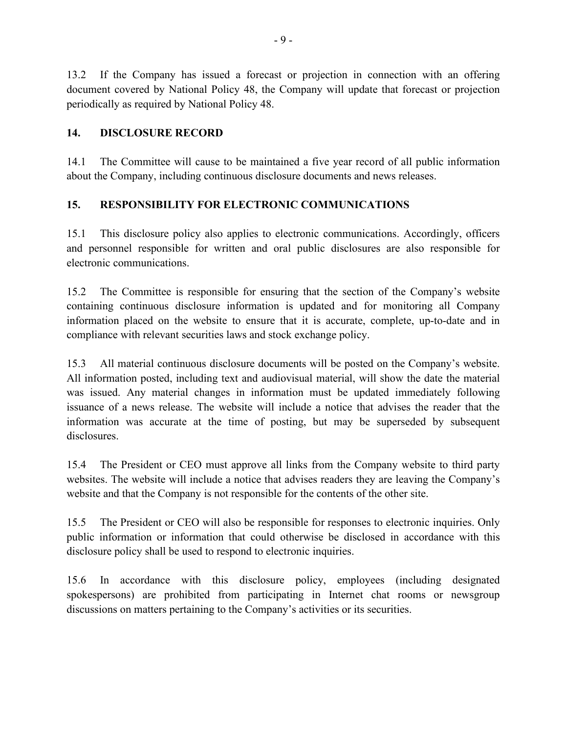13.2 If the Company has issued a forecast or projection in connection with an offering document covered by National Policy 48, the Company will update that forecast or projection periodically as required by National Policy 48.

#### **14. DISCLOSURE RECORD**

14.1 The Committee will cause to be maintained a five year record of all public information about the Company, including continuous disclosure documents and news releases.

### **15. RESPONSIBILITY FOR ELECTRONIC COMMUNICATIONS**

15.1 This disclosure policy also applies to electronic communications. Accordingly, officers and personnel responsible for written and oral public disclosures are also responsible for electronic communications.

15.2 The Committee is responsible for ensuring that the section of the Company's website containing continuous disclosure information is updated and for monitoring all Company information placed on the website to ensure that it is accurate, complete, up-to-date and in compliance with relevant securities laws and stock exchange policy.

15.3 All material continuous disclosure documents will be posted on the Company's website. All information posted, including text and audiovisual material, will show the date the material was issued. Any material changes in information must be updated immediately following issuance of a news release. The website will include a notice that advises the reader that the information was accurate at the time of posting, but may be superseded by subsequent disclosures.

15.4 The President or CEO must approve all links from the Company website to third party websites. The website will include a notice that advises readers they are leaving the Company's website and that the Company is not responsible for the contents of the other site.

15.5 The President or CEO will also be responsible for responses to electronic inquiries. Only public information or information that could otherwise be disclosed in accordance with this disclosure policy shall be used to respond to electronic inquiries.

15.6 In accordance with this disclosure policy, employees (including designated spokespersons) are prohibited from participating in Internet chat rooms or newsgroup discussions on matters pertaining to the Company's activities or its securities.